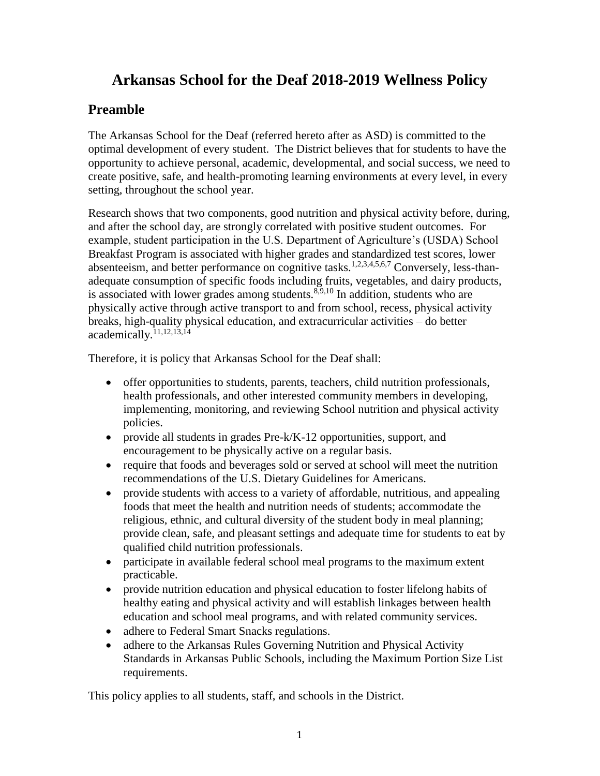# **Arkansas School for the Deaf 2018-2019 Wellness Policy**

## **Preamble**

The Arkansas School for the Deaf (referred hereto after as ASD) is committed to the optimal development of every student. The District believes that for students to have the opportunity to achieve personal, academic, developmental, and social success, we need to create positive, safe, and health-promoting learning environments at every level, in every setting, throughout the school year.

Research shows that two components, good nutrition and physical activity before, during, and after the school day, are strongly correlated with positive student outcomes. For example, student participation in the U.S. Department of Agriculture's (USDA) School Breakfast Program is associated with higher grades and standardized test scores, lower absenteeism, and better performance on cognitive tasks.<sup>1,2,3,4,5,6,7</sup> Conversely, less-thanadequate consumption of specific foods including fruits, vegetables, and dairy products, is associated with lower grades among students. $8,9,10$  In addition, students who are physically active through active transport to and from school, recess, physical activity breaks, high-quality physical education, and extracurricular activities – do better  $academically.<sup>11,12,13,14</sup>$ 

Therefore, it is policy that Arkansas School for the Deaf shall:

- offer opportunities to students, parents, teachers, child nutrition professionals, health professionals, and other interested community members in developing, implementing, monitoring, and reviewing School nutrition and physical activity policies.
- provide all students in grades Pre-k/K-12 opportunities, support, and encouragement to be physically active on a regular basis.
- require that foods and beverages sold or served at school will meet the nutrition recommendations of the U.S. Dietary Guidelines for Americans.
- provide students with access to a variety of affordable, nutritious, and appealing foods that meet the health and nutrition needs of students; accommodate the religious, ethnic, and cultural diversity of the student body in meal planning; provide clean, safe, and pleasant settings and adequate time for students to eat by qualified child nutrition professionals.
- participate in available federal school meal programs to the maximum extent practicable.
- provide nutrition education and physical education to foster lifelong habits of healthy eating and physical activity and will establish linkages between health education and school meal programs, and with related community services.
- adhere to Federal Smart Snacks regulations.
- adhere to the Arkansas Rules Governing Nutrition and Physical Activity Standards in Arkansas Public Schools, including the Maximum Portion Size List requirements.

This policy applies to all students, staff, and schools in the District.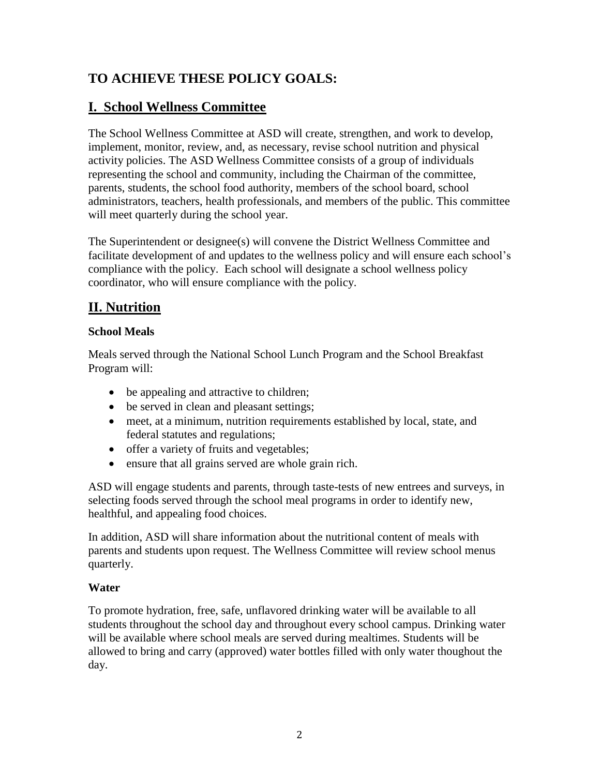# **TO ACHIEVE THESE POLICY GOALS:**

## **I. School Wellness Committee**

The School Wellness Committee at ASD will create, strengthen, and work to develop, implement, monitor, review, and, as necessary, revise school nutrition and physical activity policies. The ASD Wellness Committee consists of a group of individuals representing the school and community, including the Chairman of the committee, parents, students, the school food authority, members of the school board, school administrators, teachers, health professionals, and members of the public. This committee will meet quarterly during the school year.

The Superintendent or designee(s) will convene the District Wellness Committee and facilitate development of and updates to the wellness policy and will ensure each school's compliance with the policy. Each school will designate a school wellness policy coordinator, who will ensure compliance with the policy.

## **II. Nutrition**

## **School Meals**

Meals served through the National School Lunch Program and the School Breakfast Program will:

- be appealing and attractive to children;
- be served in clean and pleasant settings;
- meet, at a minimum, nutrition requirements established by local, state, and federal statutes and regulations;
- offer a variety of fruits and vegetables;
- ensure that all grains served are whole grain rich.

ASD will engage students and parents, through taste-tests of new entrees and surveys, in selecting foods served through the school meal programs in order to identify new, healthful, and appealing food choices.

In addition, ASD will share information about the nutritional content of meals with parents and students upon request. The Wellness Committee will review school menus quarterly.

## **Water**

To promote hydration, free, safe, unflavored drinking water will be available to all students throughout the school day and throughout every school campus. Drinking water will be available where school meals are served during mealtimes. Students will be allowed to bring and carry (approved) water bottles filled with only water thoughout the day.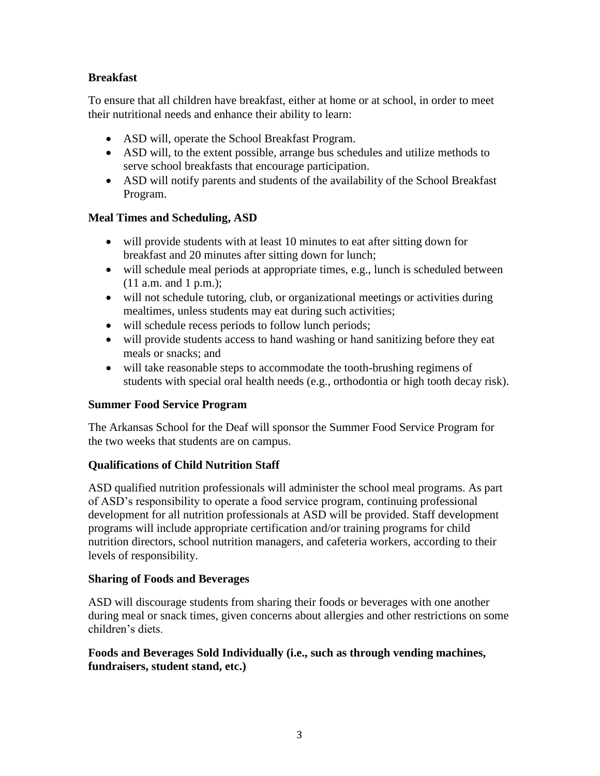### **Breakfast**

To ensure that all children have breakfast, either at home or at school, in order to meet their nutritional needs and enhance their ability to learn:

- ASD will, operate the School Breakfast Program.
- ASD will, to the extent possible, arrange bus schedules and utilize methods to serve school breakfasts that encourage participation.
- ASD will notify parents and students of the availability of the School Breakfast Program.

#### **Meal Times and Scheduling, ASD**

- will provide students with at least 10 minutes to eat after sitting down for breakfast and 20 minutes after sitting down for lunch;
- will schedule meal periods at appropriate times, e.g., lunch is scheduled between (11 a.m. and 1 p.m.);
- will not schedule tutoring, club, or organizational meetings or activities during mealtimes, unless students may eat during such activities;
- will schedule recess periods to follow lunch periods;
- will provide students access to hand washing or hand sanitizing before they eat meals or snacks; and
- will take reasonable steps to accommodate the tooth-brushing regimens of students with special oral health needs (e.g., orthodontia or high tooth decay risk).

#### **Summer Food Service Program**

The Arkansas School for the Deaf will sponsor the Summer Food Service Program for the two weeks that students are on campus.

#### **Qualifications of Child Nutrition Staff**

ASD qualified nutrition professionals will administer the school meal programs. As part of ASD's responsibility to operate a food service program, continuing professional development for all nutrition professionals at ASD will be provided. Staff development programs will include appropriate certification and/or training programs for child nutrition directors, school nutrition managers, and cafeteria workers, according to their levels of responsibility.

#### **Sharing of Foods and Beverages**

ASD will discourage students from sharing their foods or beverages with one another during meal or snack times, given concerns about allergies and other restrictions on some children's diets.

#### **Foods and Beverages Sold Individually (i.e., such as through vending machines, fundraisers, student stand, etc.)**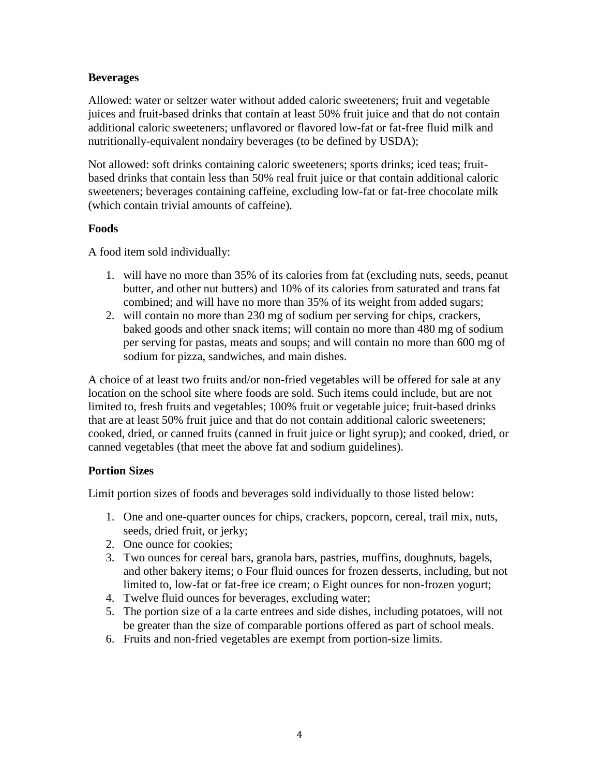#### **Beverages**

Allowed: water or seltzer water without added caloric sweeteners; fruit and vegetable juices and fruit-based drinks that contain at least 50% fruit juice and that do not contain additional caloric sweeteners; unflavored or flavored low-fat or fat-free fluid milk and nutritionally-equivalent nondairy beverages (to be defined by USDA);

Not allowed: soft drinks containing caloric sweeteners; sports drinks; iced teas; fruitbased drinks that contain less than 50% real fruit juice or that contain additional caloric sweeteners; beverages containing caffeine, excluding low-fat or fat-free chocolate milk (which contain trivial amounts of caffeine).

#### **Foods**

A food item sold individually:

- 1. will have no more than 35% of its calories from fat (excluding nuts, seeds, peanut butter, and other nut butters) and 10% of its calories from saturated and trans fat combined; and will have no more than 35% of its weight from added sugars;
- 2. will contain no more than 230 mg of sodium per serving for chips, crackers, baked goods and other snack items; will contain no more than 480 mg of sodium per serving for pastas, meats and soups; and will contain no more than 600 mg of sodium for pizza, sandwiches, and main dishes.

A choice of at least two fruits and/or non-fried vegetables will be offered for sale at any location on the school site where foods are sold. Such items could include, but are not limited to, fresh fruits and vegetables; 100% fruit or vegetable juice; fruit-based drinks that are at least 50% fruit juice and that do not contain additional caloric sweeteners; cooked, dried, or canned fruits (canned in fruit juice or light syrup); and cooked, dried, or canned vegetables (that meet the above fat and sodium guidelines).

## **Portion Sizes**

Limit portion sizes of foods and beverages sold individually to those listed below:

- 1. One and one-quarter ounces for chips, crackers, popcorn, cereal, trail mix, nuts, seeds, dried fruit, or jerky;
- 2. One ounce for cookies;
- 3. Two ounces for cereal bars, granola bars, pastries, muffins, doughnuts, bagels, and other bakery items; o Four fluid ounces for frozen desserts, including, but not limited to, low-fat or fat-free ice cream; o Eight ounces for non-frozen yogurt;
- 4. Twelve fluid ounces for beverages, excluding water;
- 5. The portion size of a la carte entrees and side dishes, including potatoes, will not be greater than the size of comparable portions offered as part of school meals.
- 6. Fruits and non-fried vegetables are exempt from portion-size limits.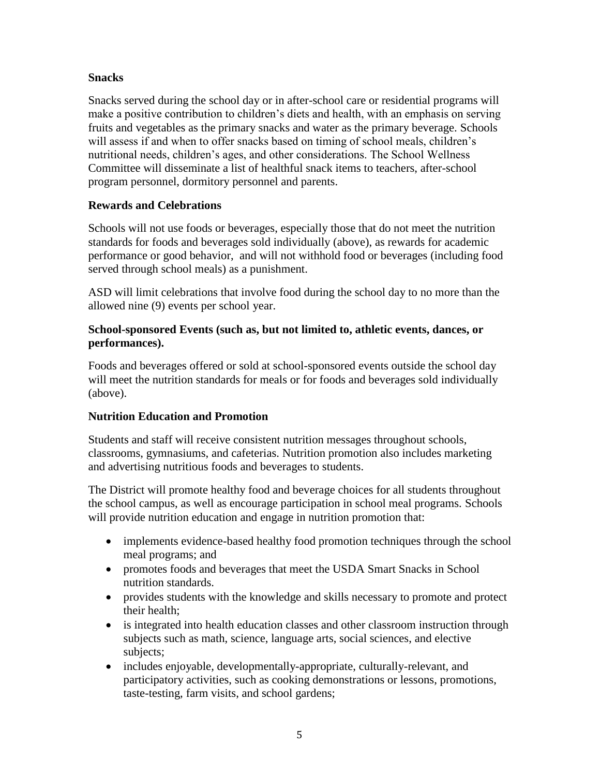#### **Snacks**

Snacks served during the school day or in after-school care or residential programs will make a positive contribution to children's diets and health, with an emphasis on serving fruits and vegetables as the primary snacks and water as the primary beverage. Schools will assess if and when to offer snacks based on timing of school meals, children's nutritional needs, children's ages, and other considerations. The School Wellness Committee will disseminate a list of healthful snack items to teachers, after-school program personnel, dormitory personnel and parents.

#### **Rewards and Celebrations**

Schools will not use foods or beverages, especially those that do not meet the nutrition standards for foods and beverages sold individually (above), as rewards for academic performance or good behavior, and will not withhold food or beverages (including food served through school meals) as a punishment.

ASD will limit celebrations that involve food during the school day to no more than the allowed nine (9) events per school year.

#### **School-sponsored Events (such as, but not limited to, athletic events, dances, or performances).**

Foods and beverages offered or sold at school-sponsored events outside the school day will meet the nutrition standards for meals or for foods and beverages sold individually (above).

#### **Nutrition Education and Promotion**

Students and staff will receive consistent nutrition messages throughout schools, classrooms, gymnasiums, and cafeterias. Nutrition promotion also includes marketing and advertising nutritious foods and beverages to students.

The District will promote healthy food and beverage choices for all students throughout the school campus, as well as encourage participation in school meal programs. Schools will provide nutrition education and engage in nutrition promotion that:

- implements evidence-based healthy food promotion techniques through the school meal programs; and
- promotes foods and beverages that meet the USDA Smart Snacks in School nutrition standards.
- provides students with the knowledge and skills necessary to promote and protect their health;
- is integrated into health education classes and other classroom instruction through subjects such as math, science, language arts, social sciences, and elective subjects;
- includes enjoyable, developmentally-appropriate, culturally-relevant, and participatory activities, such as cooking demonstrations or lessons, promotions, taste-testing, farm visits, and school gardens;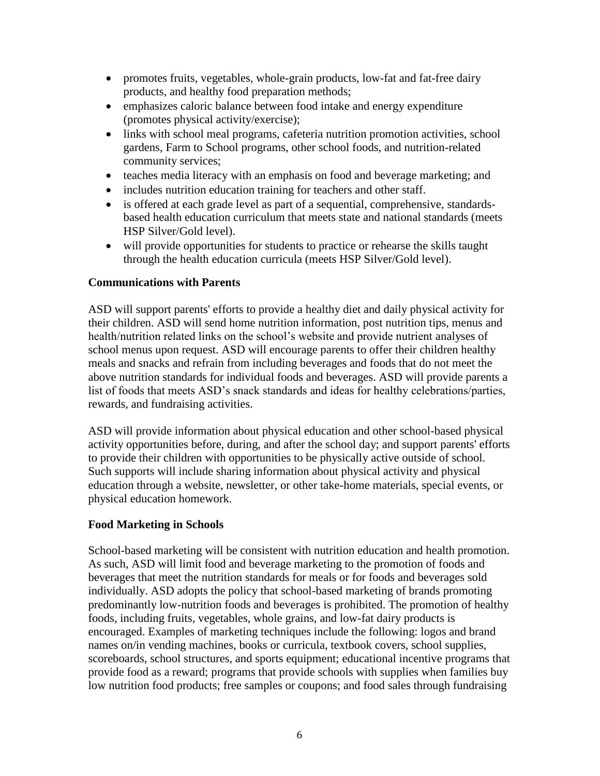- promotes fruits, vegetables, whole-grain products, low-fat and fat-free dairy products, and healthy food preparation methods;
- emphasizes caloric balance between food intake and energy expenditure (promotes physical activity/exercise);
- links with school meal programs, cafeteria nutrition promotion activities, school gardens, Farm to School programs, other school foods, and nutrition-related community services;
- teaches media literacy with an emphasis on food and beverage marketing; and
- includes nutrition education training for teachers and other staff.
- is offered at each grade level as part of a sequential, comprehensive, standardsbased health education curriculum that meets state and national standards (meets HSP Silver/Gold level).
- will provide opportunities for students to practice or rehearse the skills taught through the health education curricula (meets HSP Silver/Gold level).

#### **Communications with Parents**

ASD will support parents' efforts to provide a healthy diet and daily physical activity for their children. ASD will send home nutrition information, post nutrition tips, menus and health/nutrition related links on the school's website and provide nutrient analyses of school menus upon request. ASD will encourage parents to offer their children healthy meals and snacks and refrain from including beverages and foods that do not meet the above nutrition standards for individual foods and beverages. ASD will provide parents a list of foods that meets ASD's snack standards and ideas for healthy celebrations/parties, rewards, and fundraising activities.

ASD will provide information about physical education and other school-based physical activity opportunities before, during, and after the school day; and support parents' efforts to provide their children with opportunities to be physically active outside of school. Such supports will include sharing information about physical activity and physical education through a website, newsletter, or other take-home materials, special events, or physical education homework.

#### **Food Marketing in Schools**

School-based marketing will be consistent with nutrition education and health promotion. As such, ASD will limit food and beverage marketing to the promotion of foods and beverages that meet the nutrition standards for meals or for foods and beverages sold individually. ASD adopts the policy that school-based marketing of brands promoting predominantly low-nutrition foods and beverages is prohibited. The promotion of healthy foods, including fruits, vegetables, whole grains, and low-fat dairy products is encouraged. Examples of marketing techniques include the following: logos and brand names on/in vending machines, books or curricula, textbook covers, school supplies, scoreboards, school structures, and sports equipment; educational incentive programs that provide food as a reward; programs that provide schools with supplies when families buy low nutrition food products; free samples or coupons; and food sales through fundraising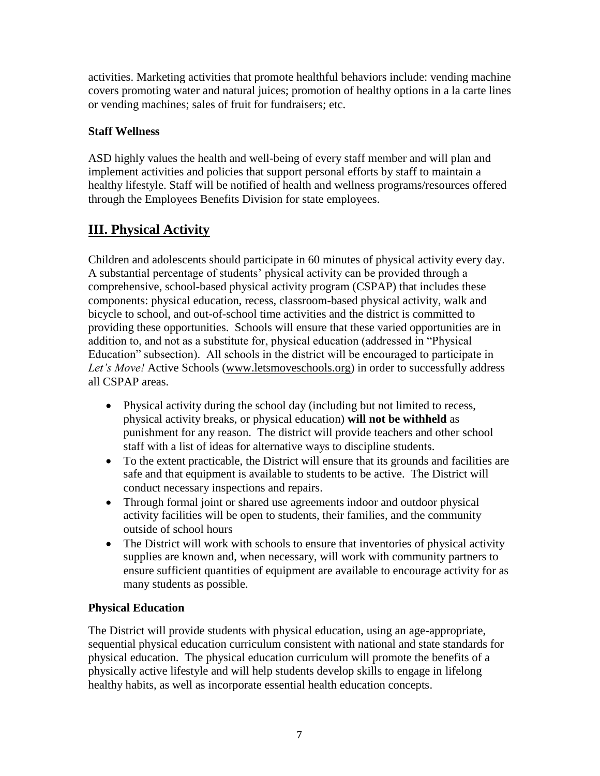activities. Marketing activities that promote healthful behaviors include: vending machine covers promoting water and natural juices; promotion of healthy options in a la carte lines or vending machines; sales of fruit for fundraisers; etc.

## **Staff Wellness**

ASD highly values the health and well-being of every staff member and will plan and implement activities and policies that support personal efforts by staff to maintain a healthy lifestyle. Staff will be notified of health and wellness programs/resources offered through the Employees Benefits Division for state employees.

# **III. Physical Activity**

Children and adolescents should participate in 60 minutes of physical activity every day. A substantial percentage of students' physical activity can be provided through a comprehensive, school-based physical activity program (CSPAP) that includes these components: physical education, recess, classroom-based physical activity, walk and bicycle to school, and out-of-school time activities and the district is committed to providing these opportunities. Schools will ensure that these varied opportunities are in addition to, and not as a substitute for, physical education (addressed in "Physical Education" subsection). All schools in the district will be encouraged to participate in *Let's Move!* Active Schools [\(www.letsmoveschools.org\)](http://www.letsmoveschools.org/) in order to successfully address all CSPAP areas.

- Physical activity during the school day (including but not limited to recess, physical activity breaks, or physical education) **will not be withheld** as punishment for any reason. The district will provide teachers and other school staff with a [list of ideas](http://cspinet.org/new/pdf/constructive_classroom_rewards.pdf) for alternative ways to discipline students.
- To the extent practicable, the District will ensure that its grounds and facilities are safe and that equipment is available to students to be active. The District will conduct necessary inspections and repairs.
- Through formal joint or shared use agreements indoor and outdoor physical activity facilities will be open to students, their families, and the community outside of school hours
- The District will work with schools to ensure that inventories of physical activity supplies are known and, when necessary, will work with community partners to ensure sufficient quantities of equipment are available to encourage activity for as many students as possible.

## **Physical Education**

The District will provide students with physical education, using an age-appropriate, sequential physical education curriculum consistent with national and state standards for physical education. The physical education curriculum will promote the benefits of a physically active lifestyle and will help students develop skills to engage in lifelong healthy habits, as well as incorporate essential health education concepts.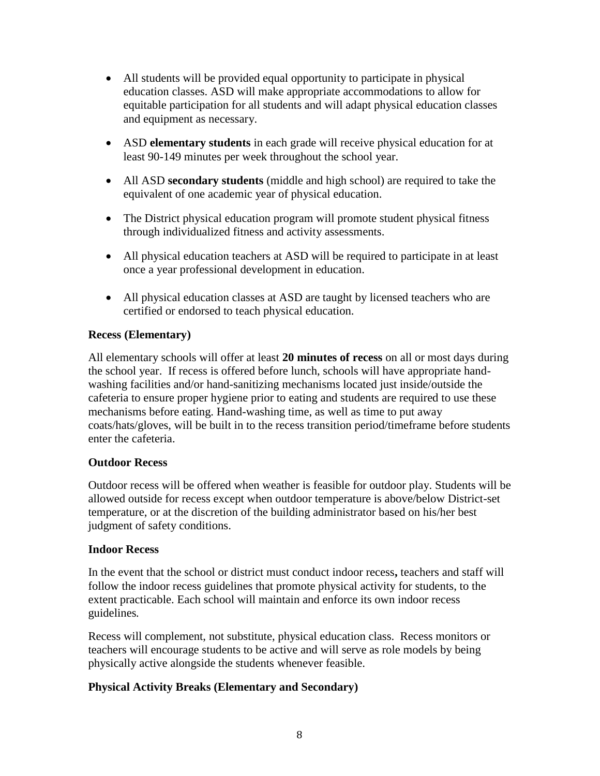- All students will be provided equal opportunity to participate in physical education classes. ASD will make appropriate accommodations to allow for equitable participation for all students and will adapt physical education classes and equipment as necessary.
- ASD **elementary students** in each grade will receive physical education for at least 90-149 minutes per week throughout the school year.
- All ASD **secondary students** (middle and high school) are required to take the equivalent of one academic year of physical education.
- The District physical education program will promote student physical fitness through individualized fitness and activity assessments.
- All physical education teachers at ASD will be required to participate in at least once a year professional development in education.
- All physical education classes at ASD are taught by licensed teachers who are certified or endorsed to teach physical education.

### **Recess (Elementary)**

All elementary schools will offer at least **20 minutes of recess** on all or most days during the school year. If recess is offered before lunch, schools will have appropriate handwashing facilities and/or hand-sanitizing mechanisms located just inside/outside the cafeteria to ensure proper hygiene prior to eating and students are required to use these mechanisms before eating. Hand-washing time, as well as time to put away coats/hats/gloves, will be built in to the recess transition period/timeframe before students enter the cafeteria.

#### **Outdoor Recess**

Outdoor recess will be offered when weather is feasible for outdoor play. Students will be allowed outside for recess except when outdoor temperature is above/below District-set temperature, or at the discretion of the building administrator based on his/her best judgment of safety conditions.

#### **Indoor Recess**

In the event that the school or district must conduct indoor recess**,** teachers and staff will follow the indoor recess guidelines that promote physical activity for students, to the extent practicable. Each school will maintain and enforce its own indoor recess guidelines*.*

Recess will complement, not substitute, physical education class. Recess monitors or teachers will encourage students to be active and will serve as role models by being physically active alongside the students whenever feasible.

## **Physical Activity Breaks (Elementary and Secondary)**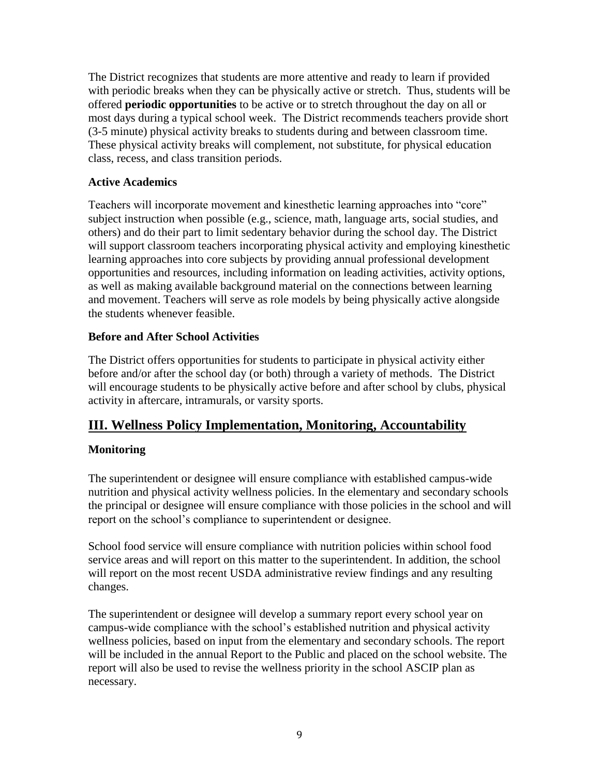The District recognizes that students are more attentive and ready to learn if provided with periodic breaks when they can be physically active or stretch. Thus, students will be offered **periodic opportunities** to be active or to stretch throughout the day on all or most days during a typical school week. The District recommends teachers provide short (3-5 minute) physical activity breaks to students during and between classroom time. These physical activity breaks will complement, not substitute, for physical education class, recess, and class transition periods.

### **Active Academics**

Teachers will incorporate movement and kinesthetic learning approaches into "core" subject instruction when possible (e.g., science, math, language arts, social studies, and others) and do their part to limit sedentary behavior during the school day. The District will support classroom teachers incorporating physical activity and employing kinesthetic learning approaches into core subjects by providing annual professional development opportunities and resources, including information on leading activities, activity options, as well as making available background material on the connections between learning and movement. Teachers will serve as role models by being physically active alongside the students whenever feasible.

## **Before and After School Activities**

The District offers opportunities for students to participate in physical activity either before and/or after the school day (or both) through a variety of methods. The District will encourage students to be physically active before and after school by clubs, physical activity in aftercare, intramurals, or varsity sports.

## **III. Wellness Policy Implementation, Monitoring, Accountability**

## **Monitoring**

The superintendent or designee will ensure compliance with established campus-wide nutrition and physical activity wellness policies. In the elementary and secondary schools the principal or designee will ensure compliance with those policies in the school and will report on the school's compliance to superintendent or designee.

School food service will ensure compliance with nutrition policies within school food service areas and will report on this matter to the superintendent. In addition, the school will report on the most recent USDA administrative review findings and any resulting changes.

The superintendent or designee will develop a summary report every school year on campus-wide compliance with the school's established nutrition and physical activity wellness policies, based on input from the elementary and secondary schools. The report will be included in the annual Report to the Public and placed on the school website. The report will also be used to revise the wellness priority in the school ASCIP plan as necessary.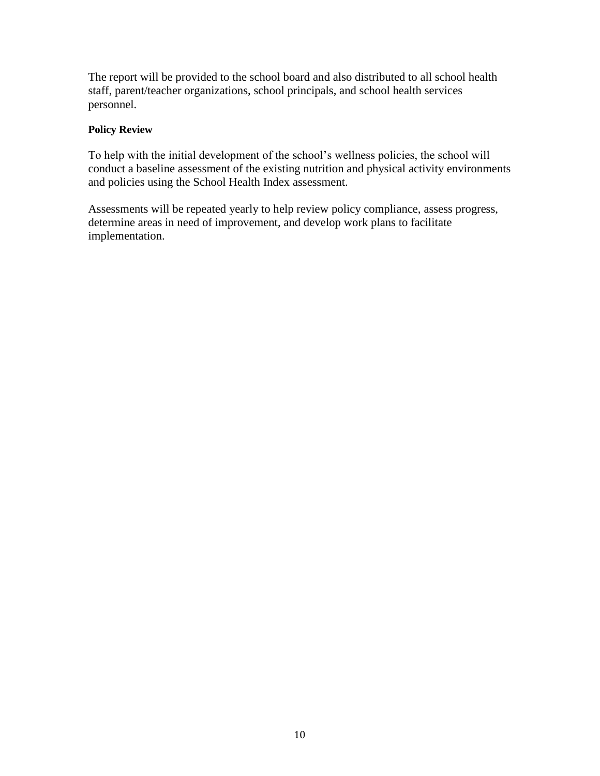The report will be provided to the school board and also distributed to all school health staff, parent/teacher organizations, school principals, and school health services personnel.

#### **Policy Review**

To help with the initial development of the school's wellness policies, the school will conduct a baseline assessment of the existing nutrition and physical activity environments and policies using the School Health Index assessment.

Assessments will be repeated yearly to help review policy compliance, assess progress, determine areas in need of improvement, and develop work plans to facilitate implementation.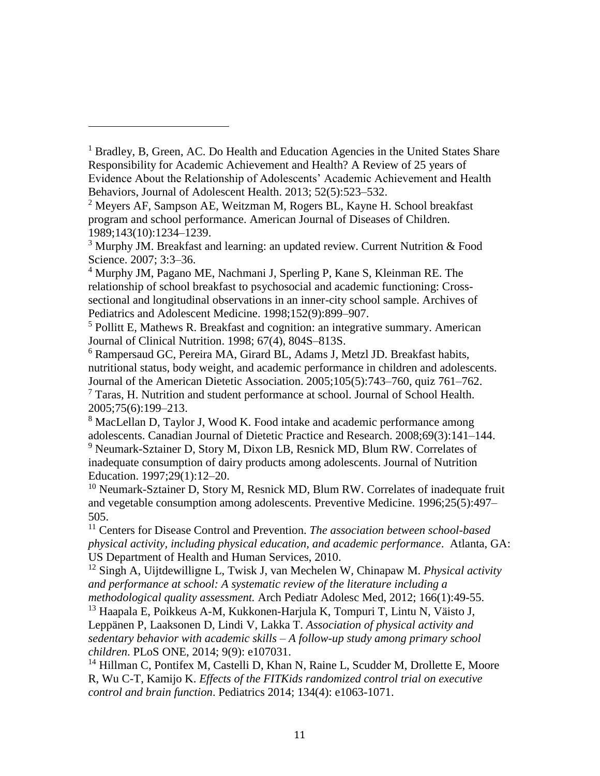l

<sup>11</sup> Centers for Disease Control and Prevention. *The association between school-based physical activity, including physical education, and academic performance*. Atlanta, GA: US Department of Health and Human Services, 2010.

<sup>12</sup> Singh A, Uijtdewilligne L, Twisk J, van Mechelen W, Chinapaw M. *Physical activity and performance at school: A systematic review of the literature including a methodological quality assessment.* Arch Pediatr Adolesc Med, 2012; 166(1):49-55.

<sup>13</sup> Haapala E, Poikkeus A-M, Kukkonen-Harjula K, Tompuri T, Lintu N, Väisto J, Leppänen P, Laaksonen D, Lindi V, Lakka T. *Association of physical activity and sedentary behavior with academic skills – A follow-up study among primary school children*. PLoS ONE, 2014; 9(9): e107031.

<sup>14</sup> Hillman C, Pontifex M, Castelli D, Khan N, Raine L, Scudder M, Drollette E, Moore R, Wu C-T, Kamijo K. *Effects of the FITKids randomized control trial on executive control and brain function*. Pediatrics 2014; 134(4): e1063-1071.

<sup>&</sup>lt;sup>1</sup> Bradley, B, Green, AC. Do Health and Education Agencies in the United States Share Responsibility for Academic Achievement and Health? A Review of 25 years of Evidence About the Relationship of Adolescents' Academic Achievement and Health Behaviors, Journal of Adolescent Health. 2013; 52(5):523–532.

 $2$  Meyers AF, Sampson AE, Weitzman M, Rogers BL, Kayne H. School breakfast program and school performance. American Journal of Diseases of Children. 1989;143(10):1234–1239.

<sup>&</sup>lt;sup>3</sup> Murphy JM. Breakfast and learning: an updated review. Current Nutrition & Food Science. 2007; 3:3–36.

<sup>4</sup> Murphy JM, Pagano ME, Nachmani J, Sperling P, Kane S, Kleinman RE. The relationship of school breakfast to psychosocial and academic functioning: Crosssectional and longitudinal observations in an inner-city school sample. Archives of Pediatrics and Adolescent Medicine. 1998;152(9):899–907.

<sup>&</sup>lt;sup>5</sup> Pollitt E, Mathews R. Breakfast and cognition: an integrative summary. American Journal of Clinical Nutrition. 1998; 67(4), 804S–813S.

<sup>6</sup> Rampersaud GC, Pereira MA, Girard BL, Adams J, Metzl JD. Breakfast habits, nutritional status, body weight, and academic performance in children and adolescents. Journal of the American Dietetic Association. 2005;105(5):743–760, quiz 761–762.

 $<sup>7</sup>$  Taras, H. Nutrition and student performance at school. Journal of School Health.</sup> 2005;75(6):199–213.

<sup>8</sup> MacLellan D, Taylor J, Wood K. Food intake and academic performance among adolescents. Canadian Journal of Dietetic Practice and Research. 2008;69(3):141–144.  $9$  Neumark-Sztainer D, Story M, Dixon LB, Resnick MD, Blum RW. Correlates of inadequate consumption of dairy products among adolescents. Journal of Nutrition Education. 1997;29(1):12–20.

<sup>&</sup>lt;sup>10</sup> Neumark-Sztainer D, Story M, Resnick MD, Blum RW. Correlates of inadequate fruit and vegetable consumption among adolescents. Preventive Medicine. 1996;25(5):497– 505.